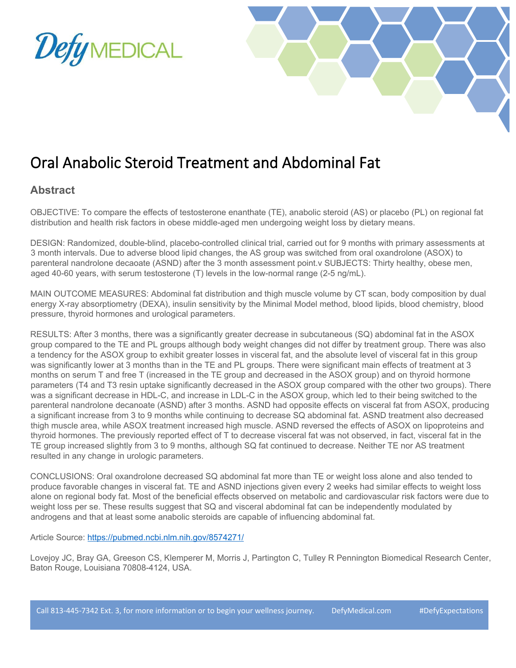



## Oral Anabolic Steroid Treatment and Abdominal Fat

## **Abstract**

OBJECTIVE: To compare the effects of testosterone enanthate (TE), anabolic steroid (AS) or placebo (PL) on regional fat distribution and health risk factors in obese middle-aged men undergoing weight loss by dietary means.

DESIGN: Randomized, double-blind, placebo-controlled clinical trial, carried out for 9 months with primary assessments at 3 month intervals. Due to adverse blood lipid changes, the AS group was switched from oral oxandrolone (ASOX) to parenteral nandrolone decaoate (ASND) after the 3 month assessment point.v SUBJECTS: Thirty healthy, obese men, aged 40-60 years, with serum testosterone (T) levels in the low-normal range (2-5 ng/mL).

MAIN OUTCOME MEASURES: Abdominal fat distribution and thigh muscle volume by CT scan, body composition by dual energy X-ray absorptiometry (DEXA), insulin sensitivity by the Minimal Model method, blood lipids, blood chemistry, blood pressure, thyroid hormones and urological parameters.

RESULTS: After 3 months, there was a significantly greater decrease in subcutaneous (SQ) abdominal fat in the ASOX group compared to the TE and PL groups although body weight changes did not differ by treatment group. There was also a tendency for the ASOX group to exhibit greater losses in visceral fat, and the absolute level of visceral fat in this group was significantly lower at 3 months than in the TE and PL groups. There were significant main effects of treatment at 3 months on serum T and free T (increased in the TE group and decreased in the ASOX group) and on thyroid hormone parameters (T4 and T3 resin uptake significantly decreased in the ASOX group compared with the other two groups). There was a significant decrease in HDL-C, and increase in LDL-C in the ASOX group, which led to their being switched to the parenteral nandrolone decanoate (ASND) after 3 months. ASND had opposite effects on visceral fat from ASOX, producing a significant increase from 3 to 9 months while continuing to decrease SQ abdominal fat. ASND treatment also decreased thigh muscle area, while ASOX treatment increased high muscle. ASND reversed the effects of ASOX on lipoproteins and thyroid hormones. The previously reported effect of T to decrease visceral fat was not observed, in fact, visceral fat in the TE group increased slightly from 3 to 9 months, although SQ fat continued to decrease. Neither TE nor AS treatment resulted in any change in urologic parameters.

CONCLUSIONS: Oral oxandrolone decreased SQ abdominal fat more than TE or weight loss alone and also tended to produce favorable changes in visceral fat. TE and ASND injections given every 2 weeks had similar effects to weight loss alone on regional body fat. Most of the beneficial effects observed on metabolic and cardiovascular risk factors were due to weight loss per se. These results suggest that SQ and visceral abdominal fat can be independently modulated by androgens and that at least some anabolic steroids are capable of influencing abdominal fat.

Article Source:<https://pubmed.ncbi.nlm.nih.gov/8574271/>

Lovejoy JC, Bray GA, Greeson CS, Klemperer M, Morris J, Partington C, Tulley R Pennington Biomedical Research Center, Baton Rouge, Louisiana 70808-4124, USA.